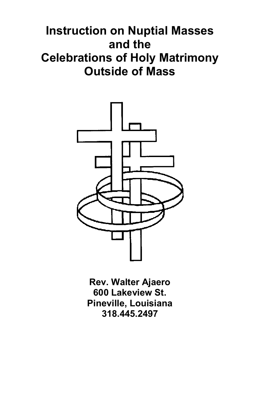# **Instruction on Nuptial Masses and the Celebrations of Holy Matrimony Outside of Mass**



**Rev. Walter Ajaero 600 Lakeview St. Pineville, Louisiana 318.445.2497**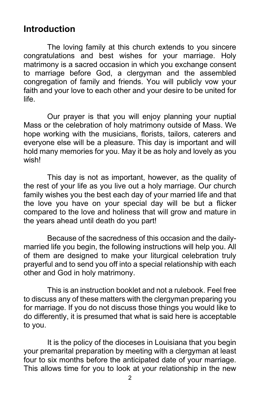#### **Introduction**

The loving family at this church extends to you sincere congratulations and best wishes for your marriage. Holy matrimony is a sacred occasion in which you exchange consent to marriage before God, a clergyman and the assembled congregation of family and friends. You will publicly vow your faith and your love to each other and your desire to be united for life.

Our prayer is that you will enjoy planning your nuptial Mass or the celebration of holy matrimony outside of Mass. We hope working with the musicians, florists, tailors, caterers and everyone else will be a pleasure. This day is important and will hold many memories for you. May it be as holy and lovely as you wish!

This day is not as important, however, as the quality of the rest of your life as you live out a holy marriage. Our church family wishes you the best each day of your married life and that the love you have on your special day will be but a flicker compared to the love and holiness that will grow and mature in the years ahead until death do you part!

Because of the sacredness of this occasion and the dailymarried life you begin, the following instructions will help you. All of them are designed to make your liturgical celebration truly prayerful and to send you off into a special relationship with each other and God in holy matrimony.

This is an instruction booklet and not a rulebook. Feel free to discuss any of these matters with the clergyman preparing you for marriage. If you do not discuss those things you would like to do differently, it is presumed that what is said here is acceptable to you.

It is the policy of the dioceses in Louisiana that you begin your premarital preparation by meeting with a clergyman at least four to six months before the anticipated date of your marriage. This allows time for you to look at your relationship in the new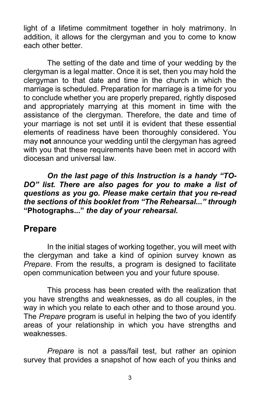light of a lifetime commitment together in holy matrimony. In addition, it allows for the clergyman and you to come to know each other better.

The setting of the date and time of your wedding by the clergyman is a legal matter. Once it is set, then you may hold the clergyman to that date and time in the church in which the marriage is scheduled. Preparation for marriage is a time for you to conclude whether you are properly prepared, rightly disposed and appropriately marrying at this moment in time with the assistance of the clergyman. Therefore, the date and time of your marriage is not set until it is evident that these essential elements of readiness have been thoroughly considered. You may **not** announce your wedding until the clergyman has agreed with you that these requirements have been met in accord with diocesan and universal law.

*On the last page of this Instruction is a handy "TO-DO" list. There are also pages for you to make a list of questions as you go. Please make certain that you re-read the sections of this booklet from "The Rehearsal..." through*  **"Photographs..."** *the day of your rehearsal.*

#### **Prepare**

In the initial stages of working together, you will meet with the clergyman and take a kind of opinion survey known as *Prepare*. From the results, a program is designed to facilitate open communication between you and your future spouse.

This process has been created with the realization that you have strengths and weaknesses, as do all couples, in the way in which you relate to each other and to those around you. The *Prepare* program is useful in helping the two of you identify areas of your relationship in which you have strengths and weaknesses.

*Prepare* is not a pass/fail test, but rather an opinion survey that provides a snapshot of how each of you thinks and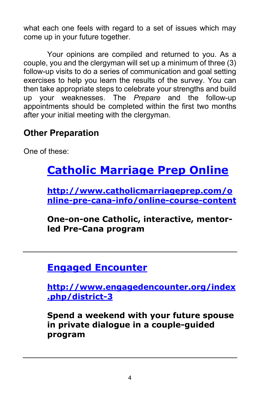what each one feels with regard to a set of issues which may come up in your future together.

Your opinions are compiled and returned to you. As a couple, you and the clergyman will set up a minimum of three (3) follow-up visits to do a series of communication and goal setting exercises to help you learn the results of the survey. You can then take appropriate steps to celebrate your strengths and build up your weaknesses. The *Prepare* and the follow-up appointments should be completed within the first two months after your initial meeting with the clergyman.

### **Other Preparation**

One of these:

# **[Catholic Marriage Prep Online](http://www.catholicmarriageprep.com/online-pre-cana-info/online-course-content)**

**[http://www.catholicmarriageprep.com/o](http://www.catholicmarriageprep.com/online-pre-cana-info/online-course-content) [nline-pre-cana-info/online-course-content](http://www.catholicmarriageprep.com/online-pre-cana-info/online-course-content)**

**One-on-one Catholic, interactive, mentorled Pre-Cana program**

## **[Engaged Encounter](http://www.engagedencounter.org/index.php/district-3)**

**[http://www.engagedencounter.org/index](http://www.engagedencounter.org/index.php/district-3) [.php/district-3](http://www.engagedencounter.org/index.php/district-3)**

**Spend a weekend with your future spouse in private dialogue in a couple-guided program**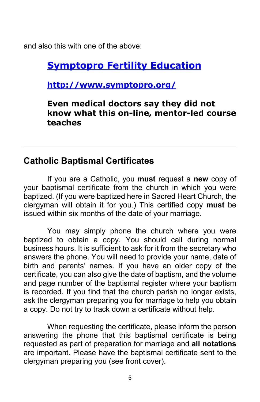and also this with one of the above:

### **Symptopro Fertility Education**

**<http://www.symptopro.org/>**

**Even medical doctors say they did not know what this on-line, mentor-led course teaches**

#### **Catholic Baptismal Certificates**

If you are a Catholic, you **must** request a **new** copy of your baptismal certificate from the church in which you were baptized. (If you were baptized here in Sacred Heart Church, the clergyman will obtain it for you.) This certified copy **must** be issued within six months of the date of your marriage.

You may simply phone the church where you were baptized to obtain a copy. You should call during normal business hours. It is sufficient to ask for it from the secretary who answers the phone. You will need to provide your name, date of birth and parents' names. If you have an older copy of the certificate, you can also give the date of baptism, and the volume and page number of the baptismal register where your baptism is recorded. If you find that the church parish no longer exists, ask the clergyman preparing you for marriage to help you obtain a copy. Do not try to track down a certificate without help.

When requesting the certificate, please inform the person answering the phone that this baptismal certificate is being requested as part of preparation for marriage and **all notations**  are important. Please have the baptismal certificate sent to the clergyman preparing you (see front cover).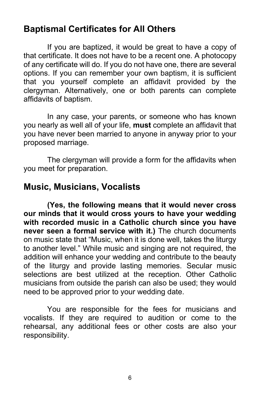#### **Baptismal Certificates for All Others**

If you are baptized, it would be great to have a copy of that certificate. It does not have to be a recent one. A photocopy of any certificate will do. If you do not have one, there are several options. If you can remember your own baptism, it is sufficient that you yourself complete an affidavit provided by the clergyman. Alternatively, one or both parents can complete affidavits of baptism.

In any case, your parents, or someone who has known you nearly as well all of your life, **must** complete an affidavit that you have never been married to anyone in anyway prior to your proposed marriage.

The clergyman will provide a form for the affidavits when you meet for preparation.

#### **Music, Musicians, Vocalists**

**(Yes, the following means that it would never cross our minds that it would cross yours to have your wedding with recorded music in a Catholic church since you have never seen a formal service with it.)** The church documents on music state that "Music, when it is done well, takes the liturgy to another level." While music and singing are not required, the addition will enhance your wedding and contribute to the beauty of the liturgy and provide lasting memories. Secular music selections are best utilized at the reception. Other Catholic musicians from outside the parish can also be used; they would need to be approved prior to your wedding date.

You are responsible for the fees for musicians and vocalists. If they are required to audition or come to the rehearsal, any additional fees or other costs are also your responsibility.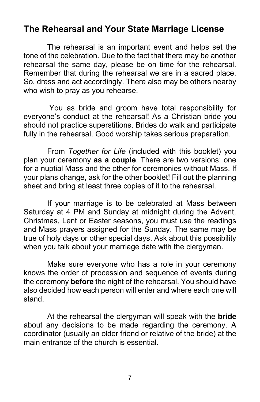#### **The Rehearsal and Your State Marriage License**

The rehearsal is an important event and helps set the tone of the celebration. Due to the fact that there may be another rehearsal the same day, please be on time for the rehearsal. Remember that during the rehearsal we are in a sacred place. So, dress and act accordingly. There also may be others nearby who wish to pray as you rehearse.

You as bride and groom have total responsibility for everyone's conduct at the rehearsal! As a Christian bride you should not practice superstitions. Brides do walk and participate fully in the rehearsal. Good worship takes serious preparation.

From *Together for Life* (included with this booklet) you plan your ceremony **as a couple**. There are two versions: one for a nuptial Mass and the other for ceremonies without Mass. If your plans change, ask for the other booklet! Fill out the planning sheet and bring at least three copies of it to the rehearsal.

If your marriage is to be celebrated at Mass between Saturday at 4 PM and Sunday at midnight during the Advent, Christmas, Lent or Easter seasons, you must use the readings and Mass prayers assigned for the Sunday. The same may be true of holy days or other special days. Ask about this possibility when you talk about your marriage date with the clergyman.

Make sure everyone who has a role in your ceremony knows the order of procession and sequence of events during the ceremony **before** the night of the rehearsal. You should have also decided how each person will enter and where each one will stand.

At the rehearsal the clergyman will speak with the **bride** about any decisions to be made regarding the ceremony. A coordinator (usually an older friend or relative of the bride) at the main entrance of the church is essential.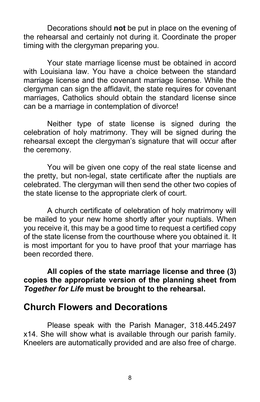Decorations should **not** be put in place on the evening of the rehearsal and certainly not during it. Coordinate the proper timing with the clergyman preparing you.

Your state marriage license must be obtained in accord with Louisiana law. You have a choice between the standard marriage license and the covenant marriage license. While the clergyman can sign the affidavit, the state requires for covenant marriages, Catholics should obtain the standard license since can be a marriage in contemplation of divorce!

Neither type of state license is signed during the celebration of holy matrimony. They will be signed during the rehearsal except the clergyman's signature that will occur after the ceremony.

You will be given one copy of the real state license and the pretty, but non-legal, state certificate after the nuptials are celebrated. The clergyman will then send the other two copies of the state license to the appropriate clerk of court.

A church certificate of celebration of holy matrimony will be mailed to your new home shortly after your nuptials. When you receive it, this may be a good time to request a certified copy of the state license from the courthouse where you obtained it. It is most important for you to have proof that your marriage has been recorded there.

**All copies of the state marriage license and three (3) copies the appropriate version of the planning sheet from** *Together for Life* **must be brought to the rehearsal.**

#### **Church Flowers and Decorations**

Please speak with the Parish Manager, 318.445.2497 x14. She will show what is available through our parish family. Kneelers are automatically provided and are also free of charge.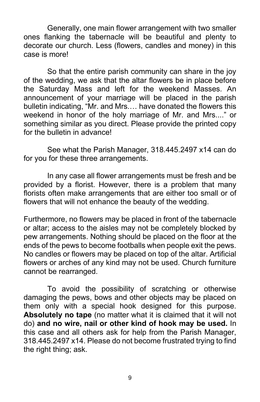Generally, one main flower arrangement with two smaller ones flanking the tabernacle will be beautiful and plenty to decorate our church. Less (flowers, candles and money) in this case is more!

So that the entire parish community can share in the joy of the wedding, we ask that the altar flowers be in place before the Saturday Mass and left for the weekend Masses. An announcement of your marriage will be placed in the parish bulletin indicating, "Mr. and Mrs.… have donated the flowers this weekend in honor of the holy marriage of Mr. and Mrs...." or something similar as you direct. Please provide the printed copy for the bulletin in advance!

See what the Parish Manager, 318.445.2497 x14 can do for you for these three arrangements.

In any case all flower arrangements must be fresh and be provided by a florist. However, there is a problem that many florists often make arrangements that are either too small or of flowers that will not enhance the beauty of the wedding.

Furthermore, no flowers may be placed in front of the tabernacle or altar; access to the aisles may not be completely blocked by pew arrangements. Nothing should be placed on the floor at the ends of the pews to become footballs when people exit the pews. No candles or flowers may be placed on top of the altar. Artificial flowers or arches of any kind may not be used. Church furniture cannot be rearranged.

To avoid the possibility of scratching or otherwise damaging the pews, bows and other objects may be placed on them only with a special hook designed for this purpose. **Absolutely no tape** (no matter what it is claimed that it will not do) **and no wire, nail or other kind of hook may be used.** In this case and all others ask for help from the Parish Manager, 318.445.2497 x14. Please do not become frustrated trying to find the right thing; ask.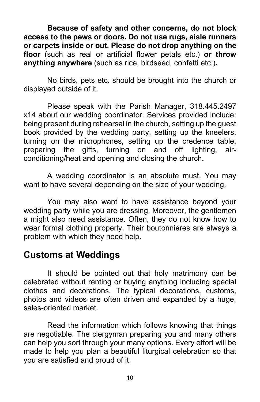**Because of safety and other concerns, do not block access to the pews or doors. Do not use rugs, aisle runners or carpets inside or out. Please do not drop anything on the floor** (such as real or artificial flower petals etc.) **or throw anything anywhere** (such as rice, birdseed, confetti etc.)**.**

No birds, pets etc. should be brought into the church or displayed outside of it.

Please speak with the Parish Manager, 318.445.2497 x14 about our wedding coordinator. Services provided include: being present during rehearsal in the church, setting up the guest book provided by the wedding party, setting up the kneelers, turning on the microphones, setting up the credence table, preparing the gifts, turning on and off lighting, airconditioning/heat and opening and closing the church**.** 

A wedding coordinator is an absolute must. You may want to have several depending on the size of your wedding.

You may also want to have assistance beyond your wedding party while you are dressing. Moreover, the gentlemen a might also need assistance. Often, they do not know how to wear formal clothing properly. Their boutonnieres are always a problem with which they need help.

#### **Customs at Weddings**

It should be pointed out that holy matrimony can be celebrated without renting or buying anything including special clothes and decorations. The typical decorations, customs, photos and videos are often driven and expanded by a huge, sales-oriented market.

Read the information which follows knowing that things are negotiable. The clergyman preparing you and many others can help you sort through your many options. Every effort will be made to help you plan a beautiful liturgical celebration so that you are satisfied and proud of it.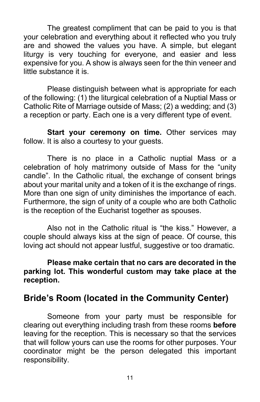The greatest compliment that can be paid to you is that your celebration and everything about it reflected who you truly are and showed the values you have. A simple, but elegant liturgy is very touching for everyone, and easier and less expensive for you. A show is always seen for the thin veneer and little substance it is.

Please distinguish between what is appropriate for each of the following: (1) the liturgical celebration of a Nuptial Mass or Catholic Rite of Marriage outside of Mass; (2) a wedding; and (3) a reception or party. Each one is a very different type of event.

**Start your ceremony on time.** Other services may follow. It is also a courtesy to your guests.

There is no place in a Catholic nuptial Mass or a celebration of holy matrimony outside of Mass for the "unity candle". In the Catholic ritual, the exchange of consent brings about your marital unity and a token of it is the exchange of rings. More than one sign of unity diminishes the importance of each. Furthermore, the sign of unity of a couple who are both Catholic is the reception of the Eucharist together as spouses.

Also not in the Catholic ritual is "the kiss." However, a couple should always kiss at the sign of peace. Of course, this loving act should not appear lustful, suggestive or too dramatic.

#### **Please make certain that no cars are decorated in the parking lot. This wonderful custom may take place at the reception.**

#### **Bride's Room (located in the Community Center)**

Someone from your party must be responsible for clearing out everything including trash from these rooms **before** leaving for the reception. This is necessary so that the services that will follow yours can use the rooms for other purposes. Your coordinator might be the person delegated this important responsibility.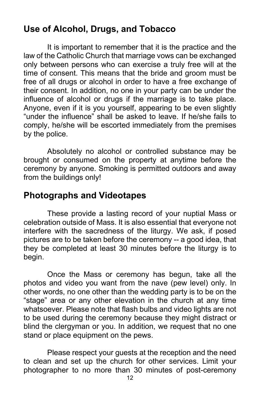### **Use of Alcohol, Drugs, and Tobacco**

It is important to remember that it is the practice and the law of the Catholic Church that marriage vows can be exchanged only between persons who can exercise a truly free will at the time of consent. This means that the bride and groom must be free of all drugs or alcohol in order to have a free exchange of their consent. In addition, no one in your party can be under the influence of alcohol or drugs if the marriage is to take place. Anyone, even if it is you yourself, appearing to be even slightly "under the influence" shall be asked to leave. If he/she fails to comply, he/she will be escorted immediately from the premises by the police.

Absolutely no alcohol or controlled substance may be brought or consumed on the property at anytime before the ceremony by anyone. Smoking is permitted outdoors and away from the buildings only!

#### **Photographs and Videotapes**

These provide a lasting record of your nuptial Mass or celebration outside of Mass. It is also essential that everyone not interfere with the sacredness of the liturgy. We ask, if posed pictures are to be taken before the ceremony -- a good idea, that they be completed at least 30 minutes before the liturgy is to begin.

Once the Mass or ceremony has begun, take all the photos and video you want from the nave (pew level) only. In other words, no one other than the wedding party is to be on the "stage" area or any other elevation in the church at any time whatsoever. Please note that flash bulbs and video lights are not to be used during the ceremony because they might distract or blind the clergyman or you. In addition, we request that no one stand or place equipment on the pews.

Please respect your guests at the reception and the need to clean and set up the church for other services. Limit your photographer to no more than 30 minutes of post-ceremony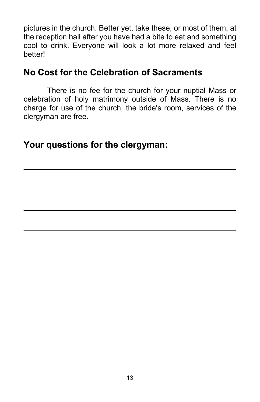pictures in the church. Better yet, take these, or most of them, at the reception hall after you have had a bite to eat and something cool to drink. Everyone will look a lot more relaxed and feel **better!** 

#### **No Cost for the Celebration of Sacraments**

There is no fee for the church for your nuptial Mass or celebration of holy matrimony outside of Mass. There is no charge for use of the church, the bride's room, services of the clergyman are free.

**Your questions for the clergyman:**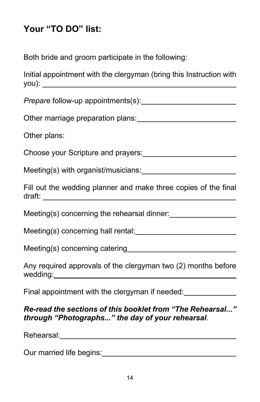## **Your "TO DO" list:**

Both bride and groom participate in the following:

|       | Initial appointment with the clergyman (bring this Instruction with |  |  |
|-------|---------------------------------------------------------------------|--|--|
| you): |                                                                     |  |  |

*Prepare* follow-up appointments(s):

Other marriage preparation plans:

Other plans:

Choose your Scripture and prayers:

Meeting(s) with organist/musicians:

Fill out the wedding planner and make three copies of the final draft:

Meeting(s) concerning the rehearsal dinner:

Meeting(s) concerning hall rental: Meeting Concerning hall rental:

Meeting(s) concerning catering

Any required approvals of the clergyman two (2) months before wedding:

Final appointment with the clergyman if needed:

#### *Re-read the sections of this booklet from "The Rehearsal..." through "Photographs..." the day of your rehearsal*.

Rehearsal: **Example 2018** 

Our married life begins: